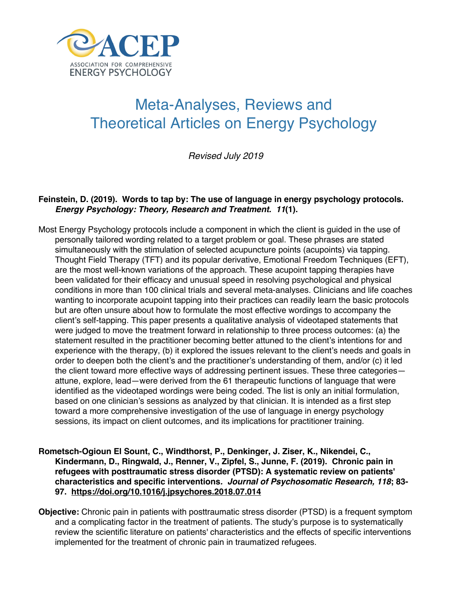

# Meta-Analyses, Reviews and Theoretical Articles on Energy Psychology

*Revised July 2019*

# **Feinstein, D. (2019). Words to tap by: The use of language in energy psychology protocols.**  *Energy Psychology: Theory, Research and Treatment. 11***(1).**

- Most Energy Psychology protocols include a component in which the client is guided in the use of personally tailored wording related to a target problem or goal. These phrases are stated simultaneously with the stimulation of selected acupuncture points (acupoints) via tapping. Thought Field Therapy (TFT) and its popular derivative, Emotional Freedom Techniques (EFT), are the most well-known variations of the approach. These acupoint tapping therapies have been validated for their efficacy and unusual speed in resolving psychological and physical conditions in more than 100 clinical trials and several meta-analyses. Clinicians and life coaches wanting to incorporate acupoint tapping into their practices can readily learn the basic protocols but are often unsure about how to formulate the most effective wordings to accompany the client's self-tapping. This paper presents a qualitative analysis of videotaped statements that were judged to move the treatment forward in relationship to three process outcomes: (a) the statement resulted in the practitioner becoming better attuned to the client's intentions for and experience with the therapy, (b) it explored the issues relevant to the client's needs and goals in order to deepen both the client's and the practitioner's understanding of them, and/or (c) it led the client toward more effective ways of addressing pertinent issues. These three categories attune, explore, lead—were derived from the 61 therapeutic functions of language that were identified as the videotaped wordings were being coded. The list is only an initial formulation, based on one clinician's sessions as analyzed by that clinician. It is intended as a first step toward a more comprehensive investigation of the use of language in energy psychology sessions, its impact on client outcomes, and its implications for practitioner training.
- **Rometsch-Ogioun El Sount, C., Windthorst, P., Denkinger, J. Ziser, K., Nikendei, C., Kindermann, D., Ringwald, J., Renner, V., Zipfel, S., Junne, F. (2019). Chronic pain in refugees with posttraumatic stress disorder (PTSD): A systematic review on patients' characteristics and specific interventions***. Journal of Psychosomatic Research, 118***; 83- 97. https://doi.org/10.1016/j.jpsychores.2018.07.014**
- **Objective:** Chronic pain in patients with posttraumatic stress disorder (PTSD) is a frequent symptom and a complicating factor in the treatment of patients. The study's purpose is to systematically review the scientific literature on patients' characteristics and the effects of specific interventions implemented for the treatment of chronic pain in traumatized refugees.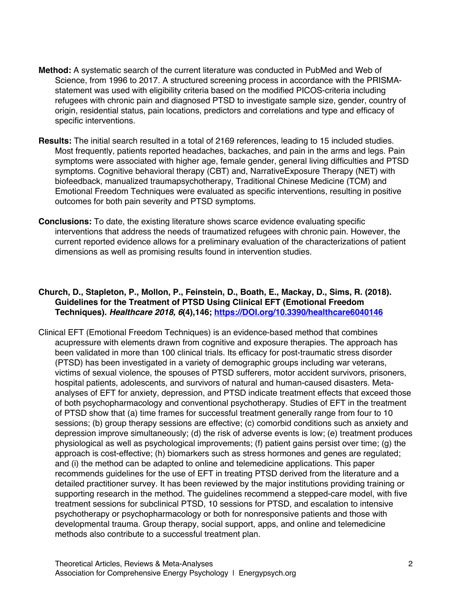- **Method:** A systematic search of the current literature was conducted in PubMed and Web of Science, from 1996 to 2017. A structured screening process in accordance with the PRISMAstatement was used with eligibility criteria based on the modified PICOS-criteria including refugees with chronic pain and diagnosed PTSD to investigate sample size, gender, country of origin, residential status, pain locations, predictors and correlations and type and efficacy of specific interventions.
- **Results:** The initial search resulted in a total of 2169 references, leading to 15 included studies. Most frequently, patients reported headaches, backaches, and pain in the arms and legs. Pain symptoms were associated with higher age, female gender, general living difficulties and PTSD symptoms. Cognitive behavioral therapy (CBT) and, NarrativeExposure Therapy (NET) with biofeedback, manualized traumapsychotherapy, Traditional Chinese Medicine (TCM) and Emotional Freedom Techniques were evaluated as specific interventions, resulting in positive outcomes for both pain severity and PTSD symptoms.
- **Conclusions:** To date, the existing literature shows scarce evidence evaluating specific interventions that address the needs of traumatized refugees with chronic pain. However, the current reported evidence allows for a preliminary evaluation of the characterizations of patient dimensions as well as promising results found in intervention studies.

## **Church, D., Stapleton, P., Mollon, P., Feinstein, D., Boath, E., Mackay, D., Sims, R. (2018). Guidelines for the Treatment of PTSD Using Clinical EFT (Emotional Freedom Techniques).** *Healthcare 2018, 6***(4),146; https://DOI.org/10.3390/healthcare6040146**

Clinical EFT (Emotional Freedom Techniques) is an evidence-based method that combines acupressure with elements drawn from cognitive and exposure therapies. The approach has been validated in more than 100 clinical trials. Its efficacy for post-traumatic stress disorder (PTSD) has been investigated in a variety of demographic groups including war veterans, victims of sexual violence, the spouses of PTSD sufferers, motor accident survivors, prisoners, hospital patients, adolescents, and survivors of natural and human-caused disasters. Metaanalyses of EFT for anxiety, depression, and PTSD indicate treatment effects that exceed those of both psychopharmacology and conventional psychotherapy. Studies of EFT in the treatment of PTSD show that (a) time frames for successful treatment generally range from four to 10 sessions; (b) group therapy sessions are effective; (c) comorbid conditions such as anxiety and depression improve simultaneously; (d) the risk of adverse events is low; (e) treatment produces physiological as well as psychological improvements; (f) patient gains persist over time; (g) the approach is cost-effective; (h) biomarkers such as stress hormones and genes are regulated; and (i) the method can be adapted to online and telemedicine applications. This paper recommends guidelines for the use of EFT in treating PTSD derived from the literature and a detailed practitioner survey. It has been reviewed by the major institutions providing training or supporting research in the method. The guidelines recommend a stepped-care model, with five treatment sessions for subclinical PTSD, 10 sessions for PTSD, and escalation to intensive psychotherapy or psychopharmacology or both for nonresponsive patients and those with developmental trauma. Group therapy, social support, apps, and online and telemedicine methods also contribute to a successful treatment plan.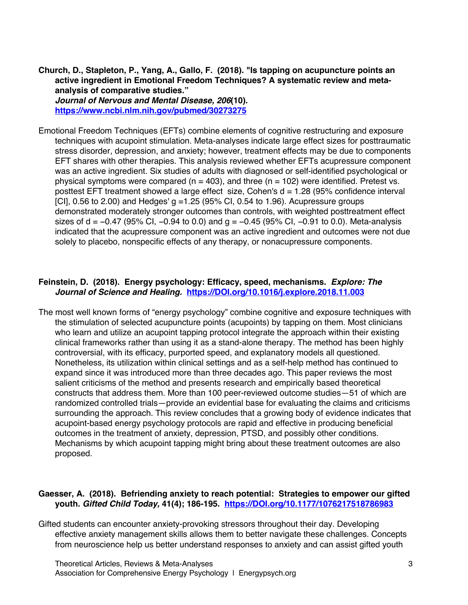**Church, D., Stapleton, P., Yang, A., Gallo, F. (2018). "Is tapping on acupuncture points an active ingredient in Emotional Freedom Techniques? A systematic review and metaanalysis of comparative studies."** 

*Journal of Nervous and Mental Disease, 206***(10). https://www.ncbi.nlm.nih.gov/pubmed/30273275**

Emotional Freedom Techniques (EFTs) combine elements of cognitive restructuring and exposure techniques with acupoint stimulation. Meta-analyses indicate large effect sizes for posttraumatic stress disorder, depression, and anxiety; however, treatment effects may be due to components EFT shares with other therapies. This analysis reviewed whether EFTs acupressure component was an active ingredient. Six studies of adults with diagnosed or self-identified psychological or physical symptoms were compared ( $n = 403$ ), and three ( $n = 102$ ) were identified. Pretest vs. posttest EFT treatment showed a large effect size, Cohen's d = 1.28 (95% confidence interval [CI], 0.56 to 2.00) and Hedges' g =1.25 (95% CI, 0.54 to 1.96). Acupressure groups demonstrated moderately stronger outcomes than controls, with weighted posttreatment effect sizes of d = −0.47 (95% CI, −0.94 to 0.0) and g = −0.45 (95% CI, −0.91 to 0.0). Meta-analysis indicated that the acupressure component was an active ingredient and outcomes were not due solely to placebo, nonspecific effects of any therapy, or nonacupressure components.

#### **Feinstein, D. (2018). Energy psychology: Efficacy, speed, mechanisms.** *Explore: The Journal of Science and Healing.* **https://DOI.org/10.1016/j.explore.2018.11.003**

The most well known forms of "energy psychology" combine cognitive and exposure techniques with the stimulation of selected acupuncture points (acupoints) by tapping on them. Most clinicians who learn and utilize an acupoint tapping protocol integrate the approach within their existing clinical frameworks rather than using it as a stand-alone therapy. The method has been highly controversial, with its efficacy, purported speed, and explanatory models all questioned. Nonetheless, its utilization within clinical settings and as a self-help method has continued to expand since it was introduced more than three decades ago. This paper reviews the most salient criticisms of the method and presents research and empirically based theoretical constructs that address them. More than 100 peer-reviewed outcome studies—51 of which are randomized controlled trials—provide an evidential base for evaluating the claims and criticisms surrounding the approach. This review concludes that a growing body of evidence indicates that acupoint-based energy psychology protocols are rapid and effective in producing beneficial outcomes in the treatment of anxiety, depression, PTSD, and possibly other conditions. Mechanisms by which acupoint tapping might bring about these treatment outcomes are also proposed.

# **Gaesser, A. (2018). Befriending anxiety to reach potential: Strategies to empower our gifted youth.** *Gifted Child Today,* **41(4); 186-195. https://DOI.org/10.1177/1076217518786983**

Gifted students can encounter anxiety-provoking stressors throughout their day. Developing effective anxiety management skills allows them to better navigate these challenges. Concepts from neuroscience help us better understand responses to anxiety and can assist gifted youth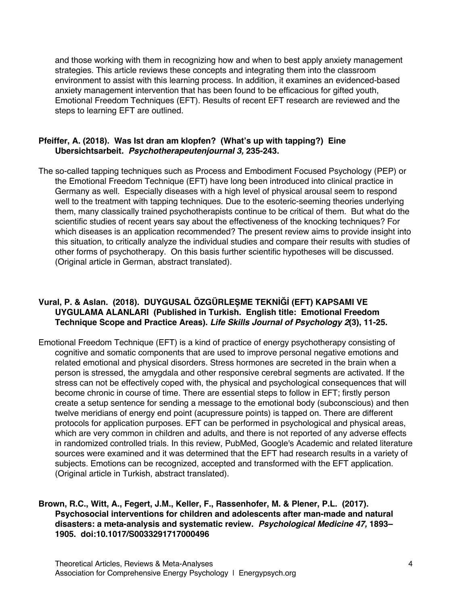and those working with them in recognizing how and when to best apply anxiety management strategies. This article reviews these concepts and integrating them into the classroom environment to assist with this learning process. In addition, it examines an evidenced-based anxiety management intervention that has been found to be efficacious for gifted youth, Emotional Freedom Techniques (EFT). Results of recent EFT research are reviewed and the steps to learning EFT are outlined.

#### **Pfeiffer, A. (2018). Was Ist dran am klopfen? (What's up with tapping?) Eine Ubersichtsarbeit***. Psychotherapeutenjournal 3,* **235-243.**

The so-called tapping techniques such as Process and Embodiment Focused Psychology (PEP) or the Emotional Freedom Technique (EFT) have long been introduced into clinical practice in Germany as well. Especially diseases with a high level of physical arousal seem to respond well to the treatment with tapping techniques. Due to the esoteric-seeming theories underlying them, many classically trained psychotherapists continue to be critical of them. But what do the scientific studies of recent years say about the effectiveness of the knocking techniques? For which diseases is an application recommended? The present review aims to provide insight into this situation, to critically analyze the individual studies and compare their results with studies of other forms of psychotherapy. On this basis further scientific hypotheses will be discussed. (Original article in German, abstract translated).

# **Vural, P. & Aslan. (2018). DUYGUSAL ÖZGÜRLEŞME TEKNİĞİ (EFT) KAPSAMI VE UYGULAMA ALANLARI (Published in Turkish. English title: Emotional Freedom Technique Scope and Practice Areas).** *Life Skills Journal of Psychology 2***(3), 11-25.**

Emotional Freedom Technique (EFT) is a kind of practice of energy psychotherapy consisting of cognitive and somatic components that are used to improve personal negative emotions and related emotional and physical disorders. Stress hormones are secreted in the brain when a person is stressed, the amygdala and other responsive cerebral segments are activated. If the stress can not be effectively coped with, the physical and psychological consequences that will become chronic in course of time. There are essential steps to follow in EFT; firstly person create a setup sentence for sending a message to the emotional body (subconscious) and then twelve meridians of energy end point (acupressure points) is tapped on. There are different protocols for application purposes. EFT can be performed in psychological and physical areas, which are very common in children and adults, and there is not reported of any adverse effects in randomized controlled trials. In this review, PubMed, Google's Academic and related literature sources were examined and it was determined that the EFT had research results in a variety of subjects. Emotions can be recognized, accepted and transformed with the EFT application. (Original article in Turkish, abstract translated).

# **Brown, R.C., Witt, A., Fegert, J.M., Keller, F., Rassenhofer, M. & Plener, P.L. (2017). Psychosocial interventions for children and adolescents after man-made and natural disasters: a meta-analysis and systematic review.** *Psychological Medicine 47,* **1893– 1905. doi:10.1017/S0033291717000496**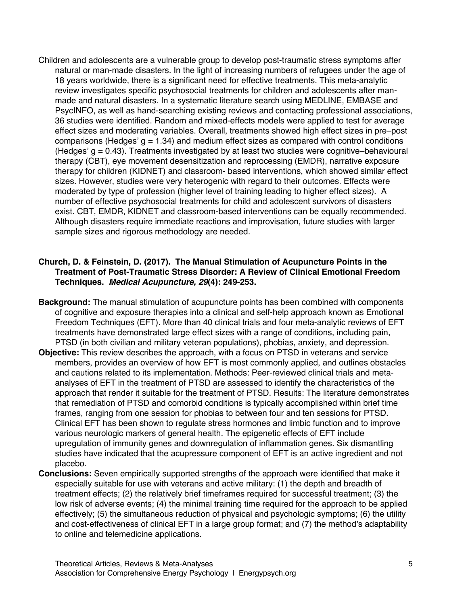Children and adolescents are a vulnerable group to develop post-traumatic stress symptoms after natural or man-made disasters. In the light of increasing numbers of refugees under the age of 18 years worldwide, there is a significant need for effective treatments. This meta-analytic review investigates specific psychosocial treatments for children and adolescents after manmade and natural disasters. In a systematic literature search using MEDLINE, EMBASE and PsycINFO, as well as hand-searching existing reviews and contacting professional associations, 36 studies were identified. Random and mixed-effects models were applied to test for average effect sizes and moderating variables. Overall, treatments showed high effect sizes in pre–post comparisons (Hedges'  $q = 1.34$ ) and medium effect sizes as compared with control conditions (Hedges' g = 0.43). Treatments investigated by at least two studies were cognitive–behavioural therapy (CBT), eye movement desensitization and reprocessing (EMDR), narrative exposure therapy for children (KIDNET) and classroom- based interventions, which showed similar effect sizes. However, studies were very heterogenic with regard to their outcomes. Effects were moderated by type of profession (higher level of training leading to higher effect sizes). A number of effective psychosocial treatments for child and adolescent survivors of disasters exist. CBT, EMDR, KIDNET and classroom-based interventions can be equally recommended. Although disasters require immediate reactions and improvisation, future studies with larger sample sizes and rigorous methodology are needed.

# **Church, D. & Feinstein, D. (2017). The Manual Stimulation of Acupuncture Points in the Treatment of Post-Traumatic Stress Disorder: A Review of Clinical Emotional Freedom Techniques.** *Medical Acupuncture, 29***(4): 249-253.**

- **Background:** The manual stimulation of acupuncture points has been combined with components of cognitive and exposure therapies into a clinical and self-help approach known as Emotional Freedom Techniques (EFT). More than 40 clinical trials and four meta-analytic reviews of EFT treatments have demonstrated large effect sizes with a range of conditions, including pain, PTSD (in both civilian and military veteran populations), phobias, anxiety, and depression.
- **Objective:** This review describes the approach, with a focus on PTSD in veterans and service members, provides an overview of how EFT is most commonly applied, and outlines obstacles and cautions related to its implementation. Methods: Peer-reviewed clinical trials and metaanalyses of EFT in the treatment of PTSD are assessed to identify the characteristics of the approach that render it suitable for the treatment of PTSD. Results: The literature demonstrates that remediation of PTSD and comorbid conditions is typically accomplished within brief time frames, ranging from one session for phobias to between four and ten sessions for PTSD. Clinical EFT has been shown to regulate stress hormones and limbic function and to improve various neurologic markers of general health. The epigenetic effects of EFT include upregulation of immunity genes and downregulation of inflammation genes. Six dismantling studies have indicated that the acupressure component of EFT is an active ingredient and not placebo.
- **Conclusions:** Seven empirically supported strengths of the approach were identified that make it especially suitable for use with veterans and active military: (1) the depth and breadth of treatment effects; (2) the relatively brief timeframes required for successful treatment; (3) the low risk of adverse events; (4) the minimal training time required for the approach to be applied effectively; (5) the simultaneous reduction of physical and psychologic symptoms; (6) the utility and cost-effectiveness of clinical EFT in a large group format; and (7) the method's adaptability to online and telemedicine applications.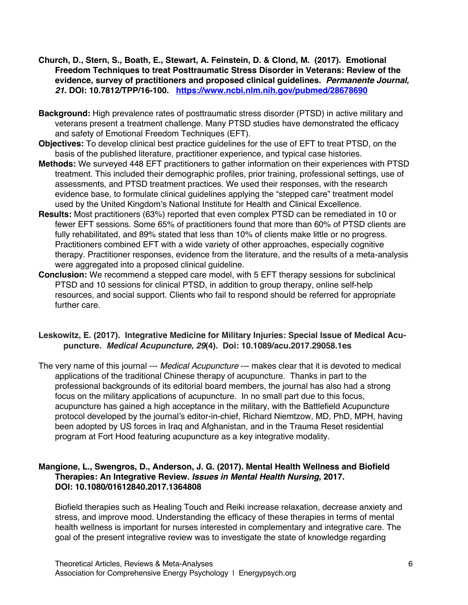- **Church, D., Stern, S., Boath, E., Stewart, A. Feinstein, D. & Clond, M. (2017). Emotional Freedom Techniques to treat Posttraumatic Stress Disorder in Veterans: Review of the evidence, survey of practitioners and proposed clinical guidelines.** *Permanente Journal, 21***. DOI: 10.7812/TPP/16-100. https://www.ncbi.nlm.nih.gov/pubmed/28678690**
- **Background:** High prevalence rates of posttraumatic stress disorder (PTSD) in active military and veterans present a treatment challenge. Many PTSD studies have demonstrated the efficacy and safety of Emotional Freedom Techniques (EFT).
- **Objectives:** To develop clinical best practice guidelines for the use of EFT to treat PTSD, on the basis of the published literature, practitioner experience, and typical case histories.
- **Methods:** We surveyed 448 EFT practitioners to gather information on their experiences with PTSD treatment. This included their demographic profiles, prior training, professional settings, use of assessments, and PTSD treatment practices. We used their responses, with the research evidence base, to formulate clinical guidelines applying the "stepped care" treatment model used by the United Kingdom's National Institute for Health and Clinical Excellence.
- **Results:** Most practitioners (63%) reported that even complex PTSD can be remediated in 10 or fewer EFT sessions. Some 65% of practitioners found that more than 60% of PTSD clients are fully rehabilitated, and 89% stated that less than 10% of clients make little or no progress. Practitioners combined EFT with a wide variety of other approaches, especially cognitive therapy. Practitioner responses, evidence from the literature, and the results of a meta-analysis were aggregated into a proposed clinical guideline.
- **Conclusion:** We recommend a stepped care model, with 5 EFT therapy sessions for subclinical PTSD and 10 sessions for clinical PTSD, in addition to group therapy, online self-help resources, and social support. Clients who fail to respond should be referred for appropriate further care.

# **Leskowitz, E. (2017). Integrative Medicine for Military Injuries: Special Issue of Medical Acupuncture.** *Medical Acupuncture, 29***(4). Doi: 10.1089/acu.2017.29058.1es**

The very name of this journal --- *Medical Acupuncture* --- makes clear that it is devoted to medical applications of the traditional Chinese therapy of acupuncture. Thanks in part to the professional backgrounds of its editorial board members, the journal has also had a strong focus on the military applications of acupuncture. In no small part due to this focus, acupuncture has gained a high acceptance in the military, with the Battlefield Acupuncture protocol developed by the journal's editor-in-chief, Richard Niemtzow, MD, PhD, MPH, having been adopted by US forces in Iraq and Afghanistan, and in the Trauma Reset residential program at Fort Hood featuring acupuncture as a key integrative modality.

# **Mangione, L., Swengros, D., Anderson, J. G. (2017). Mental Health Wellness and Biofield Therapies: An Integrative Review.** *Issues in Mental Health Nursing,* **2017. DOI: 10.1080/01612840.2017.1364808**

Biofield therapies such as Healing Touch and Reiki increase relaxation, decrease anxiety and stress, and improve mood. Understanding the efficacy of these therapies in terms of mental health wellness is important for nurses interested in complementary and integrative care. The goal of the present integrative review was to investigate the state of knowledge regarding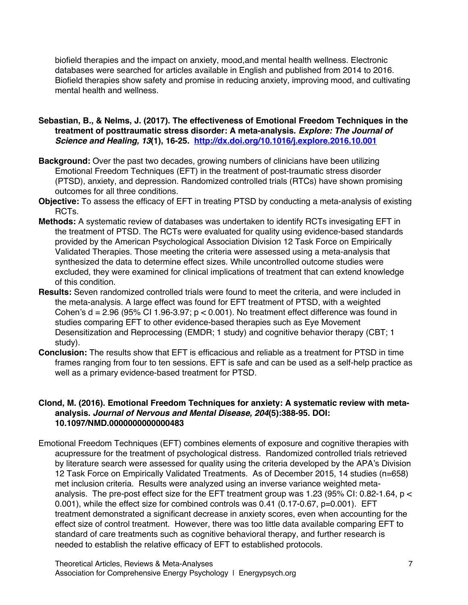biofield therapies and the impact on anxiety, mood,and mental health wellness. Electronic databases were searched for articles available in English and published from 2014 to 2016. Biofield therapies show safety and promise in reducing anxiety, improving mood, and cultivating mental health and wellness.

- **Sebastian, B., & Nelms, J. (2017). The effectiveness of Emotional Freedom Techniques in the treatment of posttraumatic stress disorder: A meta-analysis.** *Explore: The Journal of Science and Healing, 13***(1), 16-25. http://dx.doi.org/10.1016/j.explore.2016.10.001**
- **Background:** Over the past two decades, growing numbers of clinicians have been utilizing Emotional Freedom Techniques (EFT) in the treatment of post-traumatic stress disorder (PTSD), anxiety, and depression. Randomized controlled trials (RTCs) have shown promising outcomes for all three conditions.
- **Objective:** To assess the efficacy of EFT in treating PTSD by conducting a meta-analysis of existing RCTs.
- **Methods:** A systematic review of databases was undertaken to identify RCTs invesigating EFT in the treatment of PTSD. The RCTs were evaluated for quality using evidence-based standards provided by the American Psychological Association Division 12 Task Force on Empirically Validated Therapies. Those meeting the criteria were assessed using a meta-analysis that synthesized the data to determine effect sizes. While uncontrolled outcome studies were excluded, they were examined for clinical implications of treatment that can extend knowledge of this condition.
- **Results:** Seven randomized controlled trials were found to meet the criteria, and were included in the meta-analysis. A large effect was found for EFT treatment of PTSD, with a weighted Cohen's  $d = 2.96$  (95% CI 1.96-3.97;  $p < 0.001$ ). No treatment effect difference was found in studies comparing EFT to other evidence-based therapies such as Eye Movement Desensitization and Reprocessing (EMDR; 1 study) and cognitive behavior therapy (CBT; 1 study).
- **Conclusion:** The results show that EFT is efficacious and reliable as a treatment for PTSD in time frames ranging from four to ten sessions. EFT is safe and can be used as a self-help practice as well as a primary evidence-based treatment for PTSD.

# **Clond, M. (2016). Emotional Freedom Techniques for anxiety: A systematic review with metaanalysis.** *Journal of Nervous and Mental Disease, 204***(5):388-95. DOI: 10.1097/NMD.0000000000000483**

Emotional Freedom Techniques (EFT) combines elements of exposure and cognitive therapies with acupressure for the treatment of psychological distress. Randomized controlled trials retrieved by literature search were assessed for quality using the criteria developed by the APA's Division 12 Task Force on Empirically Validated Treatments. As of December 2015, 14 studies (n=658) met inclusion criteria. Results were analyzed using an inverse variance weighted metaanalysis. The pre-post effect size for the EFT treatment group was 1.23 (95% CI: 0.82-1.64, p < 0.001), while the effect size for combined controls was 0.41 (0.17-0.67, p=0.001). EFT treatment demonstrated a significant decrease in anxiety scores, even when accounting for the effect size of control treatment. However, there was too little data available comparing EFT to standard of care treatments such as cognitive behavioral therapy, and further research is needed to establish the relative efficacy of EFT to established protocols.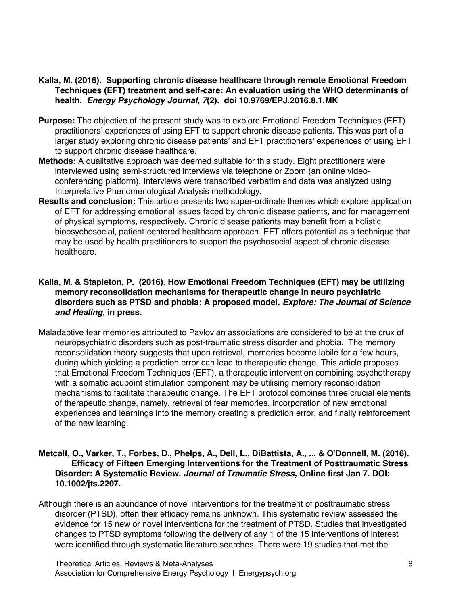- **Kalla, M. (2016). Supporting chronic disease healthcare through remote Emotional Freedom Techniques (EFT) treatment and self-care: An evaluation using the WHO determinants of health.** *Energy Psychology Journal, 7***(2). doi 10.9769/EPJ.2016.8.1.MK**
- **Purpose:** The objective of the present study was to explore Emotional Freedom Techniques (EFT) practitioners' experiences of using EFT to support chronic disease patients. This was part of a larger study exploring chronic disease patients' and EFT practitioners' experiences of using EFT to support chronic disease healthcare.
- **Methods:** A qualitative approach was deemed suitable for this study. Eight practitioners were interviewed using semi-structured interviews via telephone or Zoom (an online videoconferencing platform). Interviews were transcribed verbatim and data was analyzed using Interpretative Phenomenological Analysis methodology.
- **Results and conclusion:** This article presents two super-ordinate themes which explore application of EFT for addressing emotional issues faced by chronic disease patients, and for management of physical symptoms, respectively. Chronic disease patients may benefit from a holistic biopsychosocial, patient-centered healthcare approach. EFT offers potential as a technique that may be used by health practitioners to support the psychosocial aspect of chronic disease healthcare.

# **Kalla, M. & Stapleton, P. (2016). How Emotional Freedom Techniques (EFT) may be utilizing memory reconsolidation mechanisms for therapeutic change in neuro psychiatric disorders such as PTSD and phobia: A proposed model.** *Explore: The Journal of Science and Healing***, in press.**

Maladaptive fear memories attributed to Pavlovian associations are considered to be at the crux of neuropsychiatric disorders such as post-traumatic stress disorder and phobia. The memory reconsolidation theory suggests that upon retrieval, memories become labile for a few hours, during which yielding a prediction error can lead to therapeutic change. This article proposes that Emotional Freedom Techniques (EFT), a therapeutic intervention combining psychotherapy with a somatic acupoint stimulation component may be utilising memory reconsolidation mechanisms to facilitate therapeutic change. The EFT protocol combines three crucial elements of therapeutic change, namely, retrieval of fear memories, incorporation of new emotional experiences and learnings into the memory creating a prediction error, and finally reinforcement of the new learning.

#### **Metcalf, O., Varker, T., Forbes, D., Phelps, A., Dell, L., DiBattista, A., ... & O'Donnell, M. (2016). Efficacy of Fifteen Emerging Interventions for the Treatment of Posttraumatic Stress Disorder: A Systematic Review.** *Journal of Traumatic Stress,* **Online first Jan 7. DOI: 10.1002/jts.2207.**

Although there is an abundance of novel interventions for the treatment of posttraumatic stress disorder (PTSD), often their efficacy remains unknown. This systematic review assessed the evidence for 15 new or novel interventions for the treatment of PTSD. Studies that investigated changes to PTSD symptoms following the delivery of any 1 of the 15 interventions of interest were identified through systematic literature searches. There were 19 studies that met the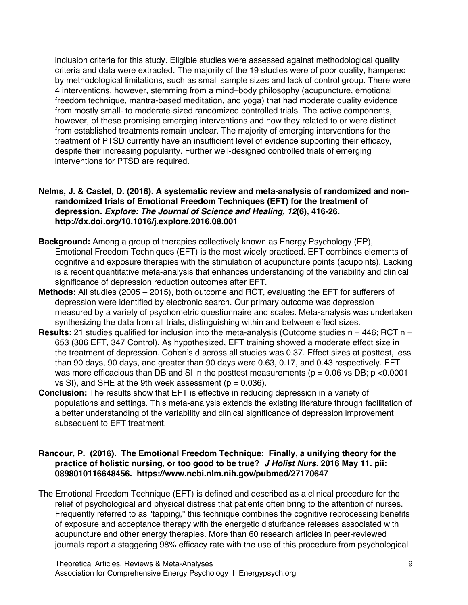inclusion criteria for this study. Eligible studies were assessed against methodological quality criteria and data were extracted. The majority of the 19 studies were of poor quality, hampered by methodological limitations, such as small sample sizes and lack of control group. There were 4 interventions, however, stemming from a mind–body philosophy (acupuncture, emotional freedom technique, mantra-based meditation, and yoga) that had moderate quality evidence from mostly small- to moderate-sized randomized controlled trials. The active components, however, of these promising emerging interventions and how they related to or were distinct from established treatments remain unclear. The majority of emerging interventions for the treatment of PTSD currently have an insufficient level of evidence supporting their efficacy, despite their increasing popularity. Further well-designed controlled trials of emerging interventions for PTSD are required.

# **Nelms, J. & Castel, D. (2016). A systematic review and meta-analysis of randomized and nonrandomized trials of Emotional Freedom Techniques (EFT) for the treatment of depression.** *Explore: The Journal of Science and Healing, 12***(6), 416-26. http://dx.doi.org/10.1016/j.explore.2016.08.001**

- **Background:** Among a group of therapies collectively known as Energy Psychology (EP), Emotional Freedom Techniques (EFT) is the most widely practiced. EFT combines elements of cognitive and exposure therapies with the stimulation of acupuncture points (acupoints). Lacking is a recent quantitative meta-analysis that enhances understanding of the variability and clinical significance of depression reduction outcomes after EFT.
- **Methods:** All studies (2005 2015), both outcome and RCT, evaluating the EFT for sufferers of depression were identified by electronic search. Our primary outcome was depression measured by a variety of psychometric questionnaire and scales. Meta-analysis was undertaken synthesizing the data from all trials, distinguishing within and between effect sizes.
- **Results:** 21 studies qualified for inclusion into the meta-analysis (Outcome studies n = 446; RCT n = 653 (306 EFT, 347 Control). As hypothesized, EFT training showed a moderate effect size in the treatment of depression. Cohen's d across all studies was 0.37. Effect sizes at posttest, less than 90 days, 90 days, and greater than 90 days were 0.63, 0.17, and 0.43 respectively. EFT was more efficacious than DB and SI in the posttest measurements ( $p = 0.06$  vs DB;  $p < 0.0001$ ) vs SI), and SHE at the 9th week assessment ( $p = 0.036$ ).
- **Conclusion:** The results show that EFT is effective in reducing depression in a variety of populations and settings. This meta-analysis extends the existing literature through facilitation of a better understanding of the variability and clinical significance of depression improvement subsequent to EFT treatment.

# **Rancour, P. (2016). The Emotional Freedom Technique: Finally, a unifying theory for the practice of holistic nursing, or too good to be true?** *J Holist Nurs.* **2016 May 11. pii: 0898010116648456. https://www.ncbi.nlm.nih.gov/pubmed/27170647**

The Emotional Freedom Technique (EFT) is defined and described as a clinical procedure for the relief of psychological and physical distress that patients often bring to the attention of nurses. Frequently referred to as "tapping," this technique combines the cognitive reprocessing benefits of exposure and acceptance therapy with the energetic disturbance releases associated with acupuncture and other energy therapies. More than 60 research articles in peer-reviewed journals report a staggering 98% efficacy rate with the use of this procedure from psychological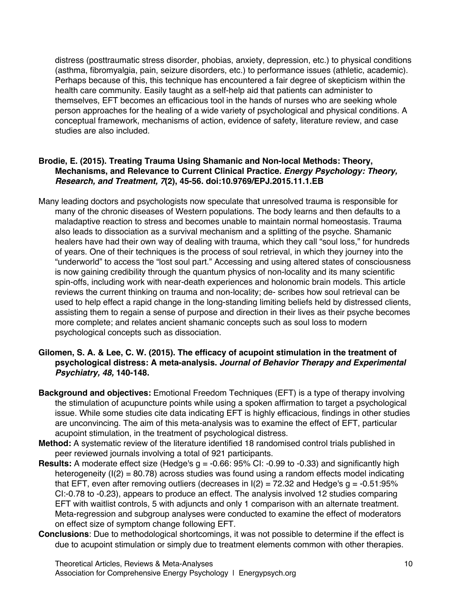distress (posttraumatic stress disorder, phobias, anxiety, depression, etc.) to physical conditions (asthma, fibromyalgia, pain, seizure disorders, etc.) to performance issues (athletic, academic). Perhaps because of this, this technique has encountered a fair degree of skepticism within the health care community. Easily taught as a self-help aid that patients can administer to themselves, EFT becomes an efficacious tool in the hands of nurses who are seeking whole person approaches for the healing of a wide variety of psychological and physical conditions. A conceptual framework, mechanisms of action, evidence of safety, literature review, and case studies are also included.

# **Brodie, E. (2015). Treating Trauma Using Shamanic and Non-local Methods: Theory, Mechanisms, and Relevance to Current Clinical Practice***. Energy Psychology: Theory, Research, and Treatment, 7***(2), 45-56. doi:10.9769/EPJ.2015.11.1.EB**

Many leading doctors and psychologists now speculate that unresolved trauma is responsible for many of the chronic diseases of Western populations. The body learns and then defaults to a maladaptive reaction to stress and becomes unable to maintain normal homeostasis. Trauma also leads to dissociation as a survival mechanism and a splitting of the psyche. Shamanic healers have had their own way of dealing with trauma, which they call "soul loss," for hundreds of years. One of their techniques is the process of soul retrieval, in which they journey into the "underworld" to access the "lost soul part." Accessing and using altered states of consciousness is now gaining credibility through the quantum physics of non-locality and its many scientific spin-offs, including work with near-death experiences and holonomic brain models. This article reviews the current thinking on trauma and non-locality; de- scribes how soul retrieval can be used to help effect a rapid change in the long-standing limiting beliefs held by distressed clients, assisting them to regain a sense of purpose and direction in their lives as their psyche becomes more complete; and relates ancient shamanic concepts such as soul loss to modern psychological concepts such as dissociation.

#### **Gilomen, S. A. & Lee, C. W. (2015). The efficacy of acupoint stimulation in the treatment of psychological distress: A meta-analysis.** *Journal of Behavior Therapy and Experimental Psychiatry, 48,* **140-148.**

- **Background and objectives:** Emotional Freedom Techniques (EFT) is a type of therapy involving the stimulation of acupuncture points while using a spoken affirmation to target a psychological issue. While some studies cite data indicating EFT is highly efficacious, findings in other studies are unconvincing. The aim of this meta-analysis was to examine the effect of EFT, particular acupoint stimulation, in the treatment of psychological distress.
- **Method:** A systematic review of the literature identified 18 randomised control trials published in peer reviewed journals involving a total of 921 participants.
- **Results:** A moderate effect size (Hedge's g = -0.66: 95% CI: -0.99 to -0.33) and significantly high heterogeneity ( $I(2) = 80.78$ ) across studies was found using a random effects model indicating that EFT, even after removing outliers (decreases in  $I(2) = 72.32$  and Hedge's  $q = -0.51:95\%$ CI:-0.78 to -0.23), appears to produce an effect. The analysis involved 12 studies comparing EFT with waitlist controls, 5 with adjuncts and only 1 comparison with an alternate treatment. Meta-regression and subgroup analyses were conducted to examine the effect of moderators on effect size of symptom change following EFT.
- **Conclusions**: Due to methodological shortcomings, it was not possible to determine if the effect is due to acupoint stimulation or simply due to treatment elements common with other therapies.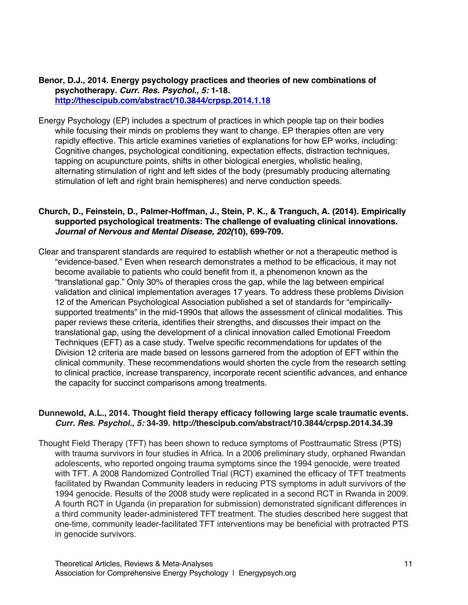#### **Benor, D.J., 2014. Energy psychology practices and theories of new combinations of psychotherapy.** *Curr. Res. Psychol., 5:* **1-18. http://thescipub.com/abstract/10.3844/crpsp.2014.1.18**

Energy Psychology (EP) includes a spectrum of practices in which people tap on their bodies while focusing their minds on problems they want to change. EP therapies often are very rapidly effective. This article examines varieties of explanations for how EP works, including: Cognitive changes, psychological conditioning, expectation effects, distraction techniques, tapping on acupuncture points, shifts in other biological energies, wholistic healing, alternating stimulation of right and left sides of the body (presumably producing alternating stimulation of left and right brain hemispheres) and nerve conduction speeds.

# **Church, D., Feinstein, D., Palmer-Hoffman, J., Stein, P. K., & Tranguch, A. (2014). Empirically supported psychological treatments: The challenge of evaluating clinical innovations.**  *Journal of Nervous and Mental Disease, 202(***10), 699-709.**

Clear and transparent standards are required to establish whether or not a therapeutic method is "evidence-based." Even when research demonstrates a method to be efficacious, it may not become available to patients who could benefit from it, a phenomenon known as the "translational gap." Only 30% of therapies cross the gap, while the lag between empirical validation and clinical implementation averages 17 years. To address these problems Division 12 of the American Psychological Association published a set of standards for "empiricallysupported treatments" in the mid-1990s that allows the assessment of clinical modalities. This paper reviews these criteria, identifies their strengths, and discusses their impact on the translational gap, using the development of a clinical innovation called Emotional Freedom Techniques (EFT) as a case study. Twelve specific recommendations for updates of the Division 12 criteria are made based on lessons garnered from the adoption of EFT within the clinical community. These recommendations would shorten the cycle from the research setting to clinical practice, increase transparency, incorporate recent scientific advances, and enhance the capacity for succinct comparisons among treatments.

# **Dunnewold, A.L., 2014. Thought field therapy efficacy following large scale traumatic events.**  *Curr. Res. Psychol., 5:* **34-39. http://thescipub.com/abstract/10.3844/crpsp.2014.34.39**

Thought Field Therapy (TFT) has been shown to reduce symptoms of Posttraumatic Stress (PTS) with trauma survivors in four studies in Africa. In a 2006 preliminary study, orphaned Rwandan adolescents, who reported ongoing trauma symptoms since the 1994 genocide, were treated with TFT. A 2008 Randomized Controlled Trial (RCT) examined the efficacy of TFT treatments facilitated by Rwandan Community leaders in reducing PTS symptoms in adult survivors of the 1994 genocide. Results of the 2008 study were replicated in a second RCT in Rwanda in 2009. A fourth RCT in Uganda (in preparation for submission) demonstrated significant differences in a third community leader-administered TFT treatment. The studies described here suggest that one-time, community leader-facilitated TFT interventions may be beneficial with protracted PTS in genocide survivors.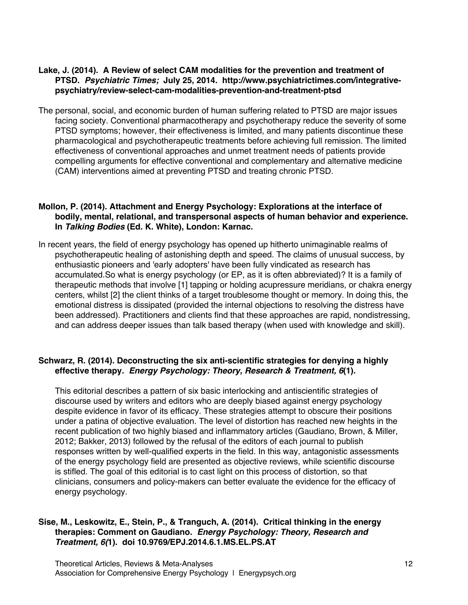# **Lake, J. (2014). A Review of select CAM modalities for the prevention and treatment of PTSD.** *Psychiatric Times;* **July 25, 2014. http://www.psychiatrictimes.com/integrativepsychiatry/review-select-cam-modalities-prevention-and-treatment-ptsd**

The personal, social, and economic burden of human suffering related to PTSD are major issues facing society. Conventional pharmacotherapy and psychotherapy reduce the severity of some PTSD symptoms; however, their effectiveness is limited, and many patients discontinue these pharmacological and psychotherapeutic treatments before achieving full remission. The limited effectiveness of conventional approaches and unmet treatment needs of patients provide compelling arguments for effective conventional and complementary and alternative medicine (CAM) interventions aimed at preventing PTSD and treating chronic PTSD.

#### **Mollon, P. (2014). Attachment and Energy Psychology: Explorations at the interface of bodily, mental, relational, and transpersonal aspects of human behavior and experience. In** *Talking Bodies* **(Ed. K. White), London: Karnac.**

In recent years, the field of energy psychology has opened up hitherto unimaginable realms of psychotherapeutic healing of astonishing depth and speed. The claims of unusual success, by enthusiastic pioneers and 'early adopters' have been fully vindicated as research has accumulated.So what is energy psychology (or EP, as it is often abbreviated)? It is a family of therapeutic methods that involve [1] tapping or holding acupressure meridians, or chakra energy centers, whilst [2] the client thinks of a target troublesome thought or memory. In doing this, the emotional distress is dissipated (provided the internal objections to resolving the distress have been addressed). Practitioners and clients find that these approaches are rapid, nondistressing, and can address deeper issues than talk based therapy (when used with knowledge and skill).

# **Schwarz, R. (2014). Deconstructing the six anti-scientific strategies for denying a highly effective therapy***. Energy Psychology: Theory, Research & Treatment, 6***(1).**

This editorial describes a pattern of six basic interlocking and antiscientific strategies of discourse used by writers and editors who are deeply biased against energy psychology despite evidence in favor of its efficacy. These strategies attempt to obscure their positions under a patina of objective evaluation. The level of distortion has reached new heights in the recent publication of two highly biased and inflammatory articles (Gaudiano, Brown, & Miller, 2012; Bakker, 2013) followed by the refusal of the editors of each journal to publish responses written by well-qualified experts in the field. In this way, antagonistic assessments of the energy psychology field are presented as objective reviews, while scientific discourse is stifled. The goal of this editorial is to cast light on this process of distortion, so that clinicians, consumers and policy-makers can better evaluate the evidence for the efficacy of energy psychology.

# **Sise, M., Leskowitz, E., Stein, P., & Tranguch, A. (2014). Critical thinking in the energy therapies: Comment on Gaudiano***. Energy Psychology: Theory, Research and Treatment, 6(***1). doi 10.9769/EPJ.2014.6.1.MS.EL.PS.AT**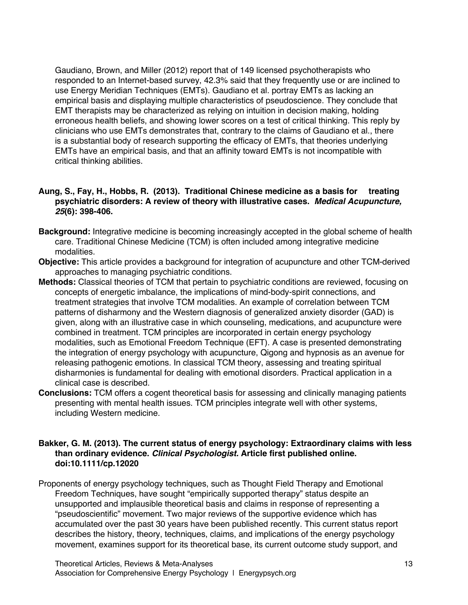Gaudiano, Brown, and Miller (2012) report that of 149 licensed psychotherapists who responded to an Internet-based survey, 42.3% said that they frequently use or are inclined to use Energy Meridian Techniques (EMTs). Gaudiano et al. portray EMTs as lacking an empirical basis and displaying multiple characteristics of pseudoscience. They conclude that EMT therapists may be characterized as relying on intuition in decision making, holding erroneous health beliefs, and showing lower scores on a test of critical thinking. This reply by clinicians who use EMTs demonstrates that, contrary to the claims of Gaudiano et al., there is a substantial body of research supporting the efficacy of EMTs, that theories underlying EMTs have an empirical basis, and that an affinity toward EMTs is not incompatible with critical thinking abilities.

#### **Aung, S., Fay, H., Hobbs, R. (2013). Traditional Chinese medicine as a basis for treating psychiatric disorders: A review of theory with illustrative cases.** *Medical Acupuncture, 25***(6): 398-406.**

- **Background:** Integrative medicine is becoming increasingly accepted in the global scheme of health care. Traditional Chinese Medicine (TCM) is often included among integrative medicine modalities.
- **Objective:** This article provides a background for integration of acupuncture and other TCM-derived approaches to managing psychiatric conditions.
- **Methods:** Classical theories of TCM that pertain to psychiatric conditions are reviewed, focusing on concepts of energetic imbalance, the implications of mind-body-spirit connections, and treatment strategies that involve TCM modalities. An example of correlation between TCM patterns of disharmony and the Western diagnosis of generalized anxiety disorder (GAD) is given, along with an illustrative case in which counseling, medications, and acupuncture were combined in treatment. TCM principles are incorporated in certain energy psychology modalities, such as Emotional Freedom Technique (EFT). A case is presented demonstrating the integration of energy psychology with acupuncture, Qigong and hypnosis as an avenue for releasing pathogenic emotions. In classical TCM theory, assessing and treating spiritual disharmonies is fundamental for dealing with emotional disorders. Practical application in a clinical case is described.
- **Conclusions:** TCM offers a cogent theoretical basis for assessing and clinically managing patients presenting with mental health issues. TCM principles integrate well with other systems, including Western medicine.

#### **Bakker, G. M. (2013). The current status of energy psychology: Extraordinary claims with less than ordinary evidence.** *Clinical Psychologist.* **Article first published online. doi:10.1111/cp.12020**

Proponents of energy psychology techniques, such as Thought Field Therapy and Emotional Freedom Techniques, have sought "empirically supported therapy" status despite an unsupported and implausible theoretical basis and claims in response of representing a "pseudoscientific" movement. Two major reviews of the supportive evidence which has accumulated over the past 30 years have been published recently. This current status report describes the history, theory, techniques, claims, and implications of the energy psychology movement, examines support for its theoretical base, its current outcome study support, and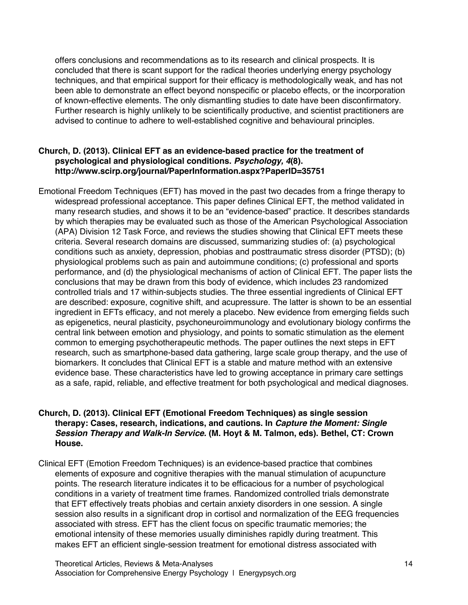offers conclusions and recommendations as to its research and clinical prospects. It is concluded that there is scant support for the radical theories underlying energy psychology techniques, and that empirical support for their efficacy is methodologically weak, and has not been able to demonstrate an effect beyond nonspecific or placebo effects, or the incorporation of known-effective elements. The only dismantling studies to date have been disconfirmatory. Further research is highly unlikely to be scientifically productive, and scientist practitioners are advised to continue to adhere to well-established cognitive and behavioural principles.

# **Church, D. (2013). Clinical EFT as an evidence-based practice for the treatment of psychological and physiological conditions.** *Psychology, 4***(8). http://www.scirp.org/journal/PaperInformation.aspx?PaperID=35751**

Emotional Freedom Techniques (EFT) has moved in the past two decades from a fringe therapy to widespread professional acceptance. This paper defines Clinical EFT, the method validated in many research studies, and shows it to be an "evidence-based" practice. It describes standards by which therapies may be evaluated such as those of the American Psychological Association (APA) Division 12 Task Force, and reviews the studies showing that Clinical EFT meets these criteria. Several research domains are discussed, summarizing studies of: (a) psychological conditions such as anxiety, depression, phobias and posttraumatic stress disorder (PTSD); (b) physiological problems such as pain and autoimmune conditions; (c) professional and sports performance, and (d) the physiological mechanisms of action of Clinical EFT. The paper lists the conclusions that may be drawn from this body of evidence, which includes 23 randomized controlled trials and 17 within-subjects studies. The three essential ingredients of Clinical EFT are described: exposure, cognitive shift, and acupressure. The latter is shown to be an essential ingredient in EFTs efficacy, and not merely a placebo. New evidence from emerging fields such as epigenetics, neural plasticity, psychoneuroimmunology and evolutionary biology confirms the central link between emotion and physiology, and points to somatic stimulation as the element common to emerging psychotherapeutic methods. The paper outlines the next steps in EFT research, such as smartphone-based data gathering, large scale group therapy, and the use of biomarkers. It concludes that Clinical EFT is a stable and mature method with an extensive evidence base. These characteristics have led to growing acceptance in primary care settings as a safe, rapid, reliable, and effective treatment for both psychological and medical diagnoses.

# **Church, D. (2013). Clinical EFT (Emotional Freedom Techniques) as single session therapy: Cases, research, indications, and cautions. In** *Capture the Moment: Single Session Therapy and Walk-In Service.* **(M. Hoyt & M. Talmon, eds). Bethel, CT: Crown House.**

Clinical EFT (Emotion Freedom Techniques) is an evidence-based practice that combines elements of exposure and cognitive therapies with the manual stimulation of acupuncture points. The research literature indicates it to be efficacious for a number of psychological conditions in a variety of treatment time frames. Randomized controlled trials demonstrate that EFT effectively treats phobias and certain anxiety disorders in one session. A single session also results in a significant drop in cortisol and normalization of the EEG frequencies associated with stress. EFT has the client focus on specific traumatic memories; the emotional intensity of these memories usually diminishes rapidly during treatment. This makes EFT an efficient single-session treatment for emotional distress associated with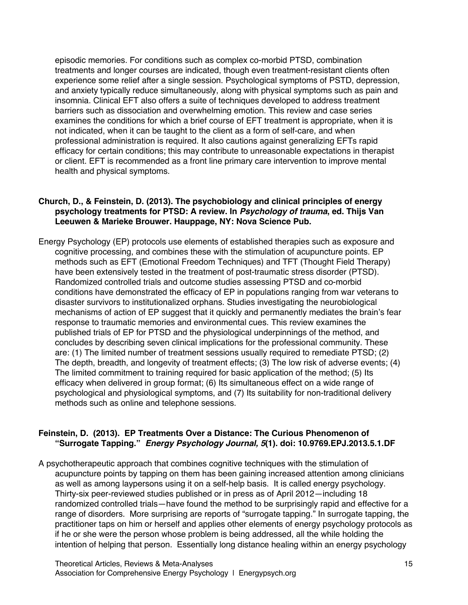episodic memories. For conditions such as complex co-morbid PTSD, combination treatments and longer courses are indicated, though even treatment-resistant clients often experience some relief after a single session. Psychological symptoms of PSTD, depression, and anxiety typically reduce simultaneously, along with physical symptoms such as pain and insomnia. Clinical EFT also offers a suite of techniques developed to address treatment barriers such as dissociation and overwhelming emotion. This review and case series examines the conditions for which a brief course of EFT treatment is appropriate, when it is not indicated, when it can be taught to the client as a form of self-care, and when professional administration is required. It also cautions against generalizing EFTs rapid efficacy for certain conditions; this may contribute to unreasonable expectations in therapist or client. EFT is recommended as a front line primary care intervention to improve mental health and physical symptoms.

## **Church, D., & Feinstein, D. (2013). The psychobiology and clinical principles of energy psychology treatments for PTSD: A review. In** *Psychology of trauma***, ed. Thijs Van Leeuwen & Marieke Brouwer. Hauppage, NY: Nova Science Pub.**

Energy Psychology (EP) protocols use elements of established therapies such as exposure and cognitive processing, and combines these with the stimulation of acupuncture points. EP methods such as EFT (Emotional Freedom Techniques) and TFT (Thought Field Therapy) have been extensively tested in the treatment of post-traumatic stress disorder (PTSD). Randomized controlled trials and outcome studies assessing PTSD and co-morbid conditions have demonstrated the efficacy of EP in populations ranging from war veterans to disaster survivors to institutionalized orphans. Studies investigating the neurobiological mechanisms of action of EP suggest that it quickly and permanently mediates the brain's fear response to traumatic memories and environmental cues. This review examines the published trials of EP for PTSD and the physiological underpinnings of the method, and concludes by describing seven clinical implications for the professional community. These are: (1) The limited number of treatment sessions usually required to remediate PTSD; (2) The depth, breadth, and longevity of treatment effects; (3) The low risk of adverse events; (4) The limited commitment to training required for basic application of the method; (5) Its efficacy when delivered in group format; (6) Its simultaneous effect on a wide range of psychological and physiological symptoms, and (7) Its suitability for non-traditional delivery methods such as online and telephone sessions.

# **Feinstein, D. (2013). EP Treatments Over a Distance: The Curious Phenomenon of "Surrogate Tapping."** *Energy Psychology Journal, 5***(1). doi: 10.9769.EPJ.2013.5.1.DF**

A psychotherapeutic approach that combines cognitive techniques with the stimulation of acupuncture points by tapping on them has been gaining increased attention among clinicians as well as among laypersons using it on a self-help basis. It is called energy psychology. Thirty-six peer-reviewed studies published or in press as of April 2012—including 18 randomized controlled trials—have found the method to be surprisingly rapid and effective for a range of disorders. More surprising are reports of "surrogate tapping." In surrogate tapping, the practitioner taps on him or herself and applies other elements of energy psychology protocols as if he or she were the person whose problem is being addressed, all the while holding the intention of helping that person. Essentially long distance healing within an energy psychology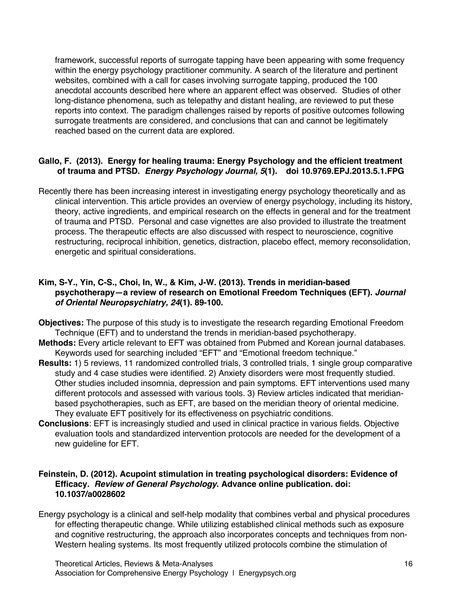framework, successful reports of surrogate tapping have been appearing with some frequency within the energy psychology practitioner community. A search of the literature and pertinent websites, combined with a call for cases involving surrogate tapping, produced the 100 anecdotal accounts described here where an apparent effect was observed. Studies of other long-distance phenomena, such as telepathy and distant healing, are reviewed to put these reports into context. The paradigm challenges raised by reports of positive outcomes following surrogate treatments are considered, and conclusions that can and cannot be legitimately reached based on the current data are explored.

# **Gallo, F. (2013). Energy for healing trauma: Energy Psychology and the efficient treatment of trauma and PTSD.** *Energy Psychology Journal, 5***(1). doi 10.9769.EPJ.2013.5.1.FPG**

Recently there has been increasing interest in investigating energy psychology theoretically and as clinical intervention. This article provides an overview of energy psychology, including its history, theory, active ingredients, and empirical research on the effects in general and for the treatment of trauma and PTSD. Personal and case vignettes are also provided to illustrate the treatment process. The therapeutic effects are also discussed with respect to neuroscience, cognitive restructuring, reciprocal inhibition, genetics, distraction, placebo effect, memory reconsolidation, energetic and spiritual considerations.

## **Kim, S-Y., Yin, C-S., Choi, In, W., & Kim, J-W. (2013). Trends in meridian-based psychotherapy—a review of research on Emotional Freedom Techniques (EFT).** *Journal of Oriental Neuropsychiatry, 24***(1). 89-100.**

- **Objectives:** The purpose of this study is to investigate the research regarding Emotional Freedom Technique (EFT) and to understand the trends in meridian-based psychotherapy.
- **Methods:** Every article relevant to EFT was obtained from Pubmed and Korean journal databases. Keywords used for searching included "EFT" and "Emotional freedom technique."
- **Results:** 1) 5 reviews, 11 randomized controlled trials, 3 controlled trials, 1 single group comparative study and 4 case studies were identified. 2) Anxiety disorders were most frequently studied. Other studies included insomnia, depression and pain symptoms. EFT interventions used many different protocols and assessed with various tools. 3) Review articles indicated that meridianbased psychotherapies, such as EFT, are based on the meridian theory of oriental medicine. They evaluate EFT positively for its effectiveness on psychiatric conditions.
- **Conclusions**: EFT is increasingly studied and used in clinical practice in various fields. Objective evaluation tools and standardized intervention protocols are needed for the development of a new guideline for EFT.

# **Feinstein, D. (2012). Acupoint stimulation in treating psychological disorders: Evidence of Efficacy.** *Review of General Psychology***. Advance online publication. doi: 10.1037/a0028602**

Energy psychology is a clinical and self-help modality that combines verbal and physical procedures for effecting therapeutic change. While utilizing established clinical methods such as exposure and cognitive restructuring, the approach also incorporates concepts and techniques from non-Western healing systems. Its most frequently utilized protocols combine the stimulation of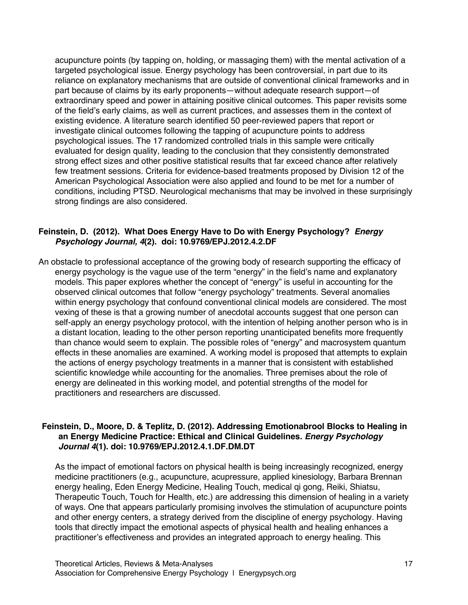acupuncture points (by tapping on, holding, or massaging them) with the mental activation of a targeted psychological issue. Energy psychology has been controversial, in part due to its reliance on explanatory mechanisms that are outside of conventional clinical frameworks and in part because of claims by its early proponents—without adequate research support—of extraordinary speed and power in attaining positive clinical outcomes. This paper revisits some of the field's early claims, as well as current practices, and assesses them in the context of existing evidence. A literature search identified 50 peer-reviewed papers that report or investigate clinical outcomes following the tapping of acupuncture points to address psychological issues. The 17 randomized controlled trials in this sample were critically evaluated for design quality, leading to the conclusion that they consistently demonstrated strong effect sizes and other positive statistical results that far exceed chance after relatively few treatment sessions. Criteria for evidence-based treatments proposed by Division 12 of the American Psychological Association were also applied and found to be met for a number of conditions, including PTSD. Neurological mechanisms that may be involved in these surprisingly strong findings are also considered.

#### **Feinstein, D. (2012). What Does Energy Have to Do with Energy Psychology?** *Energy Psychology Journal, 4***(2). doi: 10.9769/EPJ.2012.4.2.DF**

An obstacle to professional acceptance of the growing body of research supporting the efficacy of energy psychology is the vague use of the term "energy" in the field's name and explanatory models. This paper explores whether the concept of "energy" is useful in accounting for the observed clinical outcomes that follow "energy psychology" treatments. Several anomalies within energy psychology that confound conventional clinical models are considered. The most vexing of these is that a growing number of anecdotal accounts suggest that one person can self-apply an energy psychology protocol, with the intention of helping another person who is in a distant location, leading to the other person reporting unanticipated benefits more frequently than chance would seem to explain. The possible roles of "energy" and macrosystem quantum effects in these anomalies are examined. A working model is proposed that attempts to explain the actions of energy psychology treatments in a manner that is consistent with established scientific knowledge while accounting for the anomalies. Three premises about the role of energy are delineated in this working model, and potential strengths of the model for practitioners and researchers are discussed.

#### **Feinstein, D., Moore, D. & Teplitz, D. (2012). Addressing Emotionabrool Blocks to Healing in an Energy Medicine Practice: Ethical and Clinical Guidelines***. Energy Psychology Journal 4***(1). doi: 10.9769/EPJ.2012.4.1.DF.DM.DT**

As the impact of emotional factors on physical health is being increasingly recognized, energy medicine practitioners (e.g., acupuncture, acupressure, applied kinesiology, Barbara Brennan energy healing, Eden Energy Medicine, Healing Touch, medical qi gong, Reiki, Shiatsu, Therapeutic Touch, Touch for Health, etc.) are addressing this dimension of healing in a variety of ways. One that appears particularly promising involves the stimulation of acupuncture points and other energy centers, a strategy derived from the discipline of energy psychology. Having tools that directly impact the emotional aspects of physical health and healing enhances a practitioner's effectiveness and provides an integrated approach to energy healing. This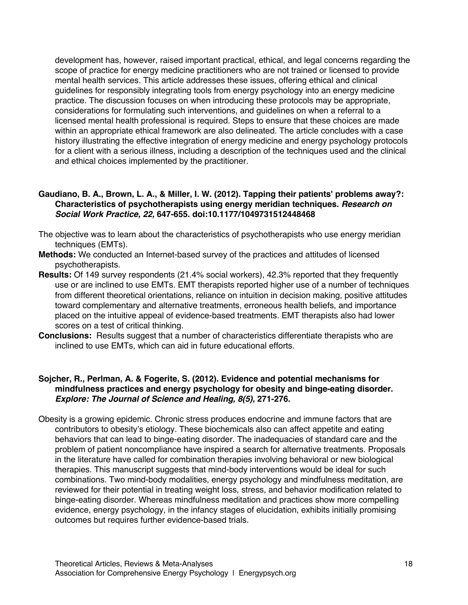development has, however, raised important practical, ethical, and legal concerns regarding the scope of practice for energy medicine practitioners who are not trained or licensed to provide mental health services. This article addresses these issues, offering ethical and clinical guidelines for responsibly integrating tools from energy psychology into an energy medicine practice. The discussion focuses on when introducing these protocols may be appropriate, considerations for formulating such interventions, and guidelines on when a referral to a licensed mental health professional is required. Steps to ensure that these choices are made within an appropriate ethical framework are also delineated. The article concludes with a case history illustrating the effective integration of energy medicine and energy psychology protocols for a client with a serious illness, including a description of the techniques used and the clinical and ethical choices implemented by the practitioner.

#### **Gaudiano, B. A., Brown, L. A., & Miller, I. W. (2012). Tapping their patients' problems away?: Characteristics of psychotherapists using energy meridian techniques.** *Research on Social Work Practice, 22,* **647-655. doi:10.1177/1049731512448468**

- The objective was to learn about the characteristics of psychotherapists who use energy meridian techniques (EMTs).
- **Methods:** We conducted an Internet-based survey of the practices and attitudes of licensed psychotherapists.
- **Results:** Of 149 survey respondents (21.4% social workers), 42.3% reported that they frequently use or are inclined to use EMTs. EMT therapists reported higher use of a number of techniques from different theoretical orientations, reliance on intuition in decision making, positive attitudes toward complementary and alternative treatments, erroneous health beliefs, and importance placed on the intuitive appeal of evidence-based treatments. EMT therapists also had lower scores on a test of critical thinking.
- **Conclusions:** Results suggest that a number of characteristics differentiate therapists who are inclined to use EMTs, which can aid in future educational efforts.

# **Sojcher, R., Perlman, A. & Fogerite, S. (2012). Evidence and potential mechanisms for mindfulness practices and energy psychology for obesity and binge-eating disorder.**  *Explore: The Journal of Science and Healing, 8(5),* **271-276.**

Obesity is a growing epidemic. Chronic stress produces endocrine and immune factors that are contributors to obesity's etiology. These biochemicals also can affect appetite and eating behaviors that can lead to binge-eating disorder. The inadequacies of standard care and the problem of patient noncompliance have inspired a search for alternative treatments. Proposals in the literature have called for combination therapies involving behavioral or new biological therapies. This manuscript suggests that mind-body interventions would be ideal for such combinations. Two mind-body modalities, energy psychology and mindfulness meditation, are reviewed for their potential in treating weight loss, stress, and behavior modification related to binge-eating disorder. Whereas mindfulness meditation and practices show more compelling evidence, energy psychology, in the infancy stages of elucidation, exhibits initially promising outcomes but requires further evidence-based trials.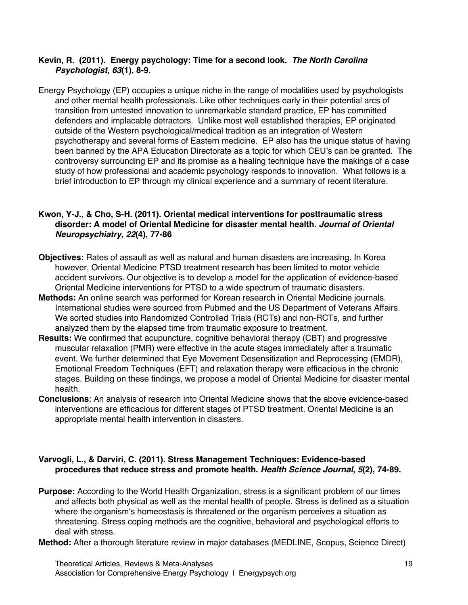# **Kevin, R. (2011). Energy psychology: Time for a second look.** *The North Carolina Psychologist, 63***(1), 8-9.**

Energy Psychology (EP) occupies a unique niche in the range of modalities used by psychologists and other mental health professionals. Like other techniques early in their potential arcs of transition from untested innovation to unremarkable standard practice, EP has committed defenders and implacable detractors. Unlike most well established therapies, EP originated outside of the Western psychological/medical tradition as an integration of Western psychotherapy and several forms of Eastern medicine. EP also has the unique status of having been banned by the APA Education Directorate as a topic for which CEU's can be granted. The controversy surrounding EP and its promise as a healing technique have the makings of a case study of how professional and academic psychology responds to innovation. What follows is a brief introduction to EP through my clinical experience and a summary of recent literature.

# **Kwon, Y-J., & Cho, S-H. (2011). Oriental medical interventions for posttraumatic stress disorder: A model of Oriental Medicine for disaster mental health***. Journal of Oriental Neuropsychiatry, 22***(4), 77-86**

- **Objectives:** Rates of assault as well as natural and human disasters are increasing. In Korea however, Oriental Medicine PTSD treatment research has been limited to motor vehicle accident survivors. Our objective is to develop a model for the application of evidence-based Oriental Medicine interventions for PTSD to a wide spectrum of traumatic disasters.
- **Methods:** An online search was performed for Korean research in Oriental Medicine journals. International studies were sourced from Pubmed and the US Department of Veterans Affairs. We sorted studies into Randomized Controlled Trials (RCTs) and non-RCTs, and further analyzed them by the elapsed time from traumatic exposure to treatment.
- **Results:** We confirmed that acupuncture, cognitive behavioral therapy (CBT) and progressive muscular relaxation (PMR) were effective in the acute stages immediately after a traumatic event. We further determined that Eye Movement Desensitization and Reprocessing (EMDR), Emotional Freedom Techniques (EFT) and relaxation therapy were efficacious in the chronic stages. Building on these findings, we propose a model of Oriental Medicine for disaster mental health.
- **Conclusions**: An analysis of research into Oriental Medicine shows that the above evidence-based interventions are efficacious for different stages of PTSD treatment. Oriental Medicine is an appropriate mental health intervention in disasters.

# **Varvogli, L., & Darviri, C. (2011). Stress Management Techniques: Evidence-based procedures that reduce stress and promote health.** *Health Science Journal, 5***(2), 74-89.**

**Purpose:** According to the World Health Organization, stress is a significant problem of our times and affects both physical as well as the mental health of people. Stress is defined as a situation where the organism's homeostasis is threatened or the organism perceives a situation as threatening. Stress coping methods are the cognitive, behavioral and psychological efforts to deal with stress.

**Method:** After a thorough literature review in major databases (MEDLINE, Scopus, Science Direct)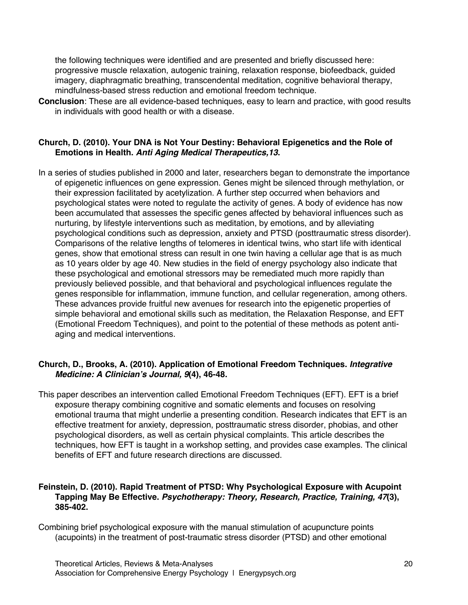the following techniques were identified and are presented and briefly discussed here: progressive muscle relaxation, autogenic training, relaxation response, biofeedback, guided imagery, diaphragmatic breathing, transcendental meditation, cognitive behavioral therapy, mindfulness-based stress reduction and emotional freedom technique.

**Conclusion**: These are all evidence-based techniques, easy to learn and practice, with good results in individuals with good health or with a disease.

## **Church, D. (2010). Your DNA is Not Your Destiny: Behavioral Epigenetics and the Role of Emotions in Health.** *Anti Aging Medical Therapeutics,13***.**

In a series of studies published in 2000 and later, researchers began to demonstrate the importance of epigenetic influences on gene expression. Genes might be silenced through methylation, or their expression facilitated by acetylization. A further step occurred when behaviors and psychological states were noted to regulate the activity of genes. A body of evidence has now been accumulated that assesses the specific genes affected by behavioral influences such as nurturing, by lifestyle interventions such as meditation, by emotions, and by alleviating psychological conditions such as depression, anxiety and PTSD (posttraumatic stress disorder). Comparisons of the relative lengths of telomeres in identical twins, who start life with identical genes, show that emotional stress can result in one twin having a cellular age that is as much as 10 years older by age 40. New studies in the field of energy psychology also indicate that these psychological and emotional stressors may be remediated much more rapidly than previously believed possible, and that behavioral and psychological influences regulate the genes responsible for inflammation, immune function, and cellular regeneration, among others. These advances provide fruitful new avenues for research into the epigenetic properties of simple behavioral and emotional skills such as meditation, the Relaxation Response, and EFT (Emotional Freedom Techniques), and point to the potential of these methods as potent antiaging and medical interventions.

# **Church, D., Brooks, A. (2010). Application of Emotional Freedom Techniques.** *Integrative Medicine: A Clinician's Journal, 9***(4), 46-48.**

This paper describes an intervention called Emotional Freedom Techniques (EFT). EFT is a brief exposure therapy combining cognitive and somatic elements and focuses on resolving emotional trauma that might underlie a presenting condition. Research indicates that EFT is an effective treatment for anxiety, depression, posttraumatic stress disorder, phobias, and other psychological disorders, as well as certain physical complaints. This article describes the techniques, how EFT is taught in a workshop setting, and provides case examples. The clinical benefits of EFT and future research directions are discussed.

# **Feinstein, D. (2010). Rapid Treatment of PTSD: Why Psychological Exposure with Acupoint Tapping May Be Effective.** *Psychotherapy: Theory, Research, Practice, Training, 47***(3), 385-402.**

Combining brief psychological exposure with the manual stimulation of acupuncture points (acupoints) in the treatment of post-traumatic stress disorder (PTSD) and other emotional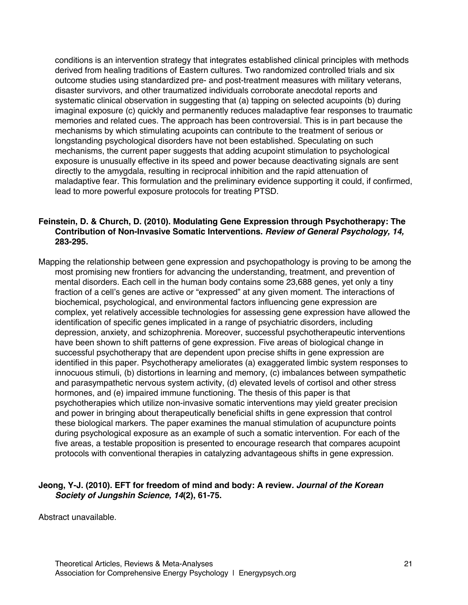conditions is an intervention strategy that integrates established clinical principles with methods derived from healing traditions of Eastern cultures. Two randomized controlled trials and six outcome studies using standardized pre- and post-treatment measures with military veterans, disaster survivors, and other traumatized individuals corroborate anecdotal reports and systematic clinical observation in suggesting that (a) tapping on selected acupoints (b) during imaginal exposure (c) quickly and permanently reduces maladaptive fear responses to traumatic memories and related cues. The approach has been controversial. This is in part because the mechanisms by which stimulating acupoints can contribute to the treatment of serious or longstanding psychological disorders have not been established. Speculating on such mechanisms, the current paper suggests that adding acupoint stimulation to psychological exposure is unusually effective in its speed and power because deactivating signals are sent directly to the amygdala, resulting in reciprocal inhibition and the rapid attenuation of maladaptive fear. This formulation and the preliminary evidence supporting it could, if confirmed, lead to more powerful exposure protocols for treating PTSD.

# **Feinstein, D. & Church, D. (2010). Modulating Gene Expression through Psychotherapy: The Contribution of Non-Invasive Somatic Interventions.** *Review of General Psychology, 14,*  **283-295.**

Mapping the relationship between gene expression and psychopathology is proving to be among the most promising new frontiers for advancing the understanding, treatment, and prevention of mental disorders. Each cell in the human body contains some 23,688 genes, yet only a tiny fraction of a cell's genes are active or "expressed" at any given moment. The interactions of biochemical, psychological, and environmental factors influencing gene expression are complex, yet relatively accessible technologies for assessing gene expression have allowed the identification of specific genes implicated in a range of psychiatric disorders, including depression, anxiety, and schizophrenia. Moreover, successful psychotherapeutic interventions have been shown to shift patterns of gene expression. Five areas of biological change in successful psychotherapy that are dependent upon precise shifts in gene expression are identified in this paper. Psychotherapy ameliorates (a) exaggerated limbic system responses to innocuous stimuli, (b) distortions in learning and memory, (c) imbalances between sympathetic and parasympathetic nervous system activity, (d) elevated levels of cortisol and other stress hormones, and (e) impaired immune functioning. The thesis of this paper is that psychotherapies which utilize non-invasive somatic interventions may yield greater precision and power in bringing about therapeutically beneficial shifts in gene expression that control these biological markers. The paper examines the manual stimulation of acupuncture points during psychological exposure as an example of such a somatic intervention. For each of the five areas, a testable proposition is presented to encourage research that compares acupoint protocols with conventional therapies in catalyzing advantageous shifts in gene expression.

# **Jeong, Y-J. (2010). EFT for freedom of mind and body: A review***. Journal of the Korean Society of Jungshin Science, 14***(2), 61-75.**

Abstract unavailable.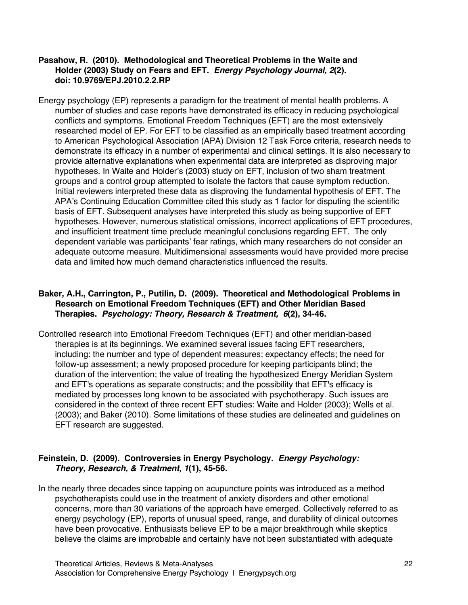## **Pasahow, R. (2010). Methodological and Theoretical Problems in the Waite and Holder (2003) Study on Fears and EFT.** *Energy Psychology Journal, 2***(2). doi: 10.9769/EPJ.2010.2.2.RP**

Energy psychology (EP) represents a paradigm for the treatment of mental health problems. A number of studies and case reports have demonstrated its efficacy in reducing psychological conflicts and symptoms. Emotional Freedom Techniques (EFT) are the most extensively researched model of EP. For EFT to be classified as an empirically based treatment according to American Psychological Association (APA) Division 12 Task Force criteria, research needs to demonstrate its efficacy in a number of experimental and clinical settings. It is also necessary to provide alternative explanations when experimental data are interpreted as disproving major hypotheses. In Waite and Holder's (2003) study on EFT, inclusion of two sham treatment groups and a control group attempted to isolate the factors that cause symptom reduction. Initial reviewers interpreted these data as disproving the fundamental hypothesis of EFT. The APA's Continuing Education Committee cited this study as 1 factor for disputing the scientific basis of EFT. Subsequent analyses have interpreted this study as being supportive of EFT hypotheses. However, numerous statistical omissions, incorrect applications of EFT procedures, and insufficient treatment time preclude meaningful conclusions regarding EFT. The only dependent variable was participants' fear ratings, which many researchers do not consider an adequate outcome measure. Multidimensional assessments would have provided more precise data and limited how much demand characteristics influenced the results.

# **Baker, A.H., Carrington, P., Putilin, D. (2009). Theoretical and Methodological Problems in Research on Emotional Freedom Techniques (EFT) and Other Meridian Based Therapies.** *Psychology: Theory, Research & Treatment, 6***(2), 34-46.**

Controlled research into Emotional Freedom Techniques (EFT) and other meridian-based therapies is at its beginnings. We examined several issues facing EFT researchers, including: the number and type of dependent measures; expectancy effects; the need for follow-up assessment; a newly proposed procedure for keeping participants blind; the duration of the intervention; the value of treating the hypothesized Energy Meridian System and EFT's operations as separate constructs; and the possibility that EFT's efficacy is mediated by processes long known to be associated with psychotherapy. Such issues are considered in the context of three recent EFT studies: Waite and Holder (2003); Wells et al. (2003); and Baker (2010). Some limitations of these studies are delineated and guidelines on EFT research are suggested.

# **Feinstein, D. (2009). Controversies in Energy Psychology.** *Energy Psychology: Theory, Research, & Treatment, 1***(1), 45-56.**

In the nearly three decades since tapping on acupuncture points was introduced as a method psychotherapists could use in the treatment of anxiety disorders and other emotional concerns, more than 30 variations of the approach have emerged. Collectively referred to as energy psychology (EP), reports of unusual speed, range, and durability of clinical outcomes have been provocative. Enthusiasts believe EP to be a major breakthrough while skeptics believe the claims are improbable and certainly have not been substantiated with adequate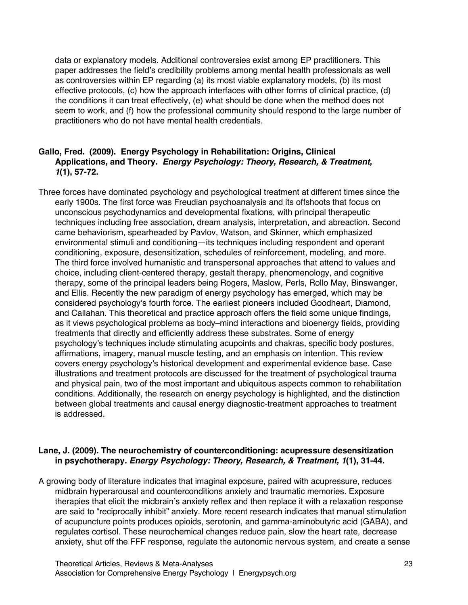data or explanatory models. Additional controversies exist among EP practitioners. This paper addresses the field's credibility problems among mental health professionals as well as controversies within EP regarding (a) its most viable explanatory models, (b) its most effective protocols, (c) how the approach interfaces with other forms of clinical practice, (d) the conditions it can treat effectively, (e) what should be done when the method does not seem to work, and (f) how the professional community should respond to the large number of practitioners who do not have mental health credentials.

# **Gallo, Fred. (2009). Energy Psychology in Rehabilitation: Origins, Clinical Applications, and Theory.** *Energy Psychology: Theory, Research, & Treatment, 1***(1), 57-72.**

Three forces have dominated psychology and psychological treatment at different times since the early 1900s. The first force was Freudian psychoanalysis and its offshoots that focus on unconscious psychodynamics and developmental fixations, with principal therapeutic techniques including free association, dream analysis, interpretation, and abreaction. Second came behaviorism, spearheaded by Pavlov, Watson, and Skinner, which emphasized environmental stimuli and conditioning—its techniques including respondent and operant conditioning, exposure, desensitization, schedules of reinforcement, modeling, and more. The third force involved humanistic and transpersonal approaches that attend to values and choice, including client-centered therapy, gestalt therapy, phenomenology, and cognitive therapy, some of the principal leaders being Rogers, Maslow, Perls, Rollo May, Binswanger, and Ellis. Recently the new paradigm of energy psychology has emerged, which may be considered psychology's fourth force. The earliest pioneers included Goodheart, Diamond, and Callahan. This theoretical and practice approach offers the field some unique findings, as it views psychological problems as body–mind interactions and bioenergy fields, providing treatments that directly and efficiently address these substrates. Some of energy psychology's techniques include stimulating acupoints and chakras, specific body postures, affirmations, imagery, manual muscle testing, and an emphasis on intention. This review covers energy psychology's historical development and experimental evidence base. Case illustrations and treatment protocols are discussed for the treatment of psychological trauma and physical pain, two of the most important and ubiquitous aspects common to rehabilitation conditions. Additionally, the research on energy psychology is highlighted, and the distinction between global treatments and causal energy diagnostic-treatment approaches to treatment is addressed.

# **Lane, J. (2009). The neurochemistry of counterconditioning: acupressure desensitization in psychotherapy***. Energy Psychology: Theory, Research, & Treatment, 1***(1), 31-44.**

A growing body of literature indicates that imaginal exposure, paired with acupressure, reduces midbrain hyperarousal and counterconditions anxiety and traumatic memories. Exposure therapies that elicit the midbrain's anxiety reflex and then replace it with a relaxation response are said to "reciprocally inhibit" anxiety. More recent research indicates that manual stimulation of acupuncture points produces opioids, serotonin, and gamma-aminobutyric acid (GABA), and regulates cortisol. These neurochemical changes reduce pain, slow the heart rate, decrease anxiety, shut off the FFF response, regulate the autonomic nervous system, and create a sense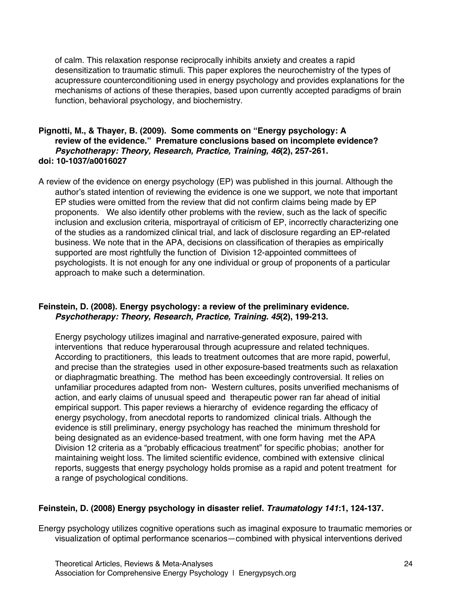of calm. This relaxation response reciprocally inhibits anxiety and creates a rapid desensitization to traumatic stimuli. This paper explores the neurochemistry of the types of acupressure counterconditioning used in energy psychology and provides explanations for the mechanisms of actions of these therapies, based upon currently accepted paradigms of brain function, behavioral psychology, and biochemistry.

#### **Pignotti, M., & Thayer, B. (2009). Some comments on "Energy psychology: A review of the evidence." Premature conclusions based on incomplete evidence?**  *Psychotherapy: Theory, Research, Practice, Training, 46***(2), 257-261. doi: 10-1037/a0016027**

A review of the evidence on energy psychology (EP) was published in this journal. Although the author's stated intention of reviewing the evidence is one we support, we note that important EP studies were omitted from the review that did not confirm claims being made by EP proponents. We also identify other problems with the review, such as the lack of specific inclusion and exclusion criteria, misportrayal of criticism of EP, incorrectly characterizing one of the studies as a randomized clinical trial, and lack of disclosure regarding an EP-related business. We note that in the APA, decisions on classification of therapies as empirically supported are most rightfully the function of Division 12-appointed committees of psychologists. It is not enough for any one individual or group of proponents of a particular approach to make such a determination.

# **Feinstein, D. (2008). Energy psychology: a review of the preliminary evidence.**  *Psychotherapy: Theory, Research, Practice, Training. 45***(2), 199-213.**

Energy psychology utilizes imaginal and narrative-generated exposure, paired with interventions that reduce hyperarousal through acupressure and related techniques. According to practitioners, this leads to treatment outcomes that are more rapid, powerful, and precise than the strategies used in other exposure-based treatments such as relaxation or diaphragmatic breathing. The method has been exceedingly controversial. It relies on unfamiliar procedures adapted from non- Western cultures, posits unverified mechanisms of action, and early claims of unusual speed and therapeutic power ran far ahead of initial empirical support. This paper reviews a hierarchy of evidence regarding the efficacy of energy psychology, from anecdotal reports to randomized clinical trials. Although the evidence is still preliminary, energy psychology has reached the minimum threshold for being designated as an evidence-based treatment, with one form having met the APA Division 12 criteria as a "probably efficacious treatment" for specific phobias; another for maintaining weight loss. The limited scientific evidence, combined with extensive clinical reports, suggests that energy psychology holds promise as a rapid and potent treatment for a range of psychological conditions.

# **Feinstein, D. (2008) Energy psychology in disaster relief.** *Traumatology 141***:1, 124-137.**

Energy psychology utilizes cognitive operations such as imaginal exposure to traumatic memories or visualization of optimal performance scenarios—combined with physical interventions derived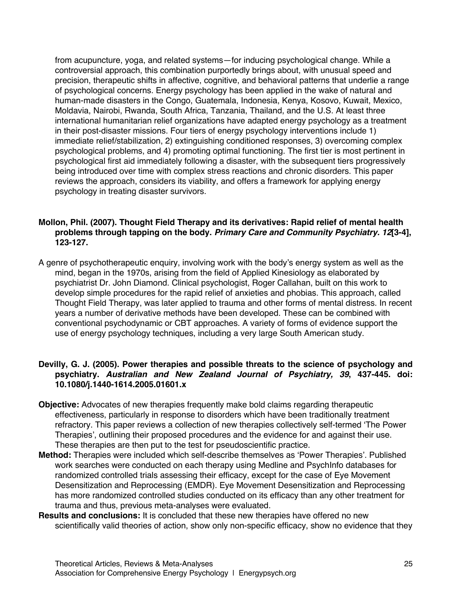from acupuncture, yoga, and related systems—for inducing psychological change. While a controversial approach, this combination purportedly brings about, with unusual speed and precision, therapeutic shifts in affective, cognitive, and behavioral patterns that underlie a range of psychological concerns. Energy psychology has been applied in the wake of natural and human-made disasters in the Congo, Guatemala, Indonesia, Kenya, Kosovo, Kuwait, Mexico, Moldavia, Nairobi, Rwanda, South Africa, Tanzania, Thailand, and the U.S. At least three international humanitarian relief organizations have adapted energy psychology as a treatment in their post-disaster missions. Four tiers of energy psychology interventions include 1) immediate relief/stabilization, 2) extinguishing conditioned responses, 3) overcoming complex psychological problems, and 4) promoting optimal functioning. The first tier is most pertinent in psychological first aid immediately following a disaster, with the subsequent tiers progressively being introduced over time with complex stress reactions and chronic disorders. This paper reviews the approach, considers its viability, and offers a framework for applying energy psychology in treating disaster survivors.

# **Mollon, Phil. (2007). Thought Field Therapy and its derivatives: Rapid relief of mental health problems through tapping on the body.** *Primary Care and Community Psychiatry. 12***[3-4], 123-127.**

A genre of psychotherapeutic enquiry, involving work with the body's energy system as well as the mind, began in the 1970s, arising from the field of Applied Kinesiology as elaborated by psychiatrist Dr. John Diamond. Clinical psychologist, Roger Callahan, built on this work to develop simple procedures for the rapid relief of anxieties and phobias. This approach, called Thought Field Therapy, was later applied to trauma and other forms of mental distress. In recent years a number of derivative methods have been developed. These can be combined with conventional psychodynamic or CBT approaches. A variety of forms of evidence support the use of energy psychology techniques, including a very large South American study.

# **Devilly, G. J. (2005). Power therapies and possible threats to the science of psychology and psychiatry.** *Australian and New Zealand Journal of Psychiatry, 39***, 437-445. doi: 10.1080/j.1440-1614.2005.01601.x**

- **Objective:** Advocates of new therapies frequently make bold claims regarding therapeutic effectiveness, particularly in response to disorders which have been traditionally treatment refractory. This paper reviews a collection of new therapies collectively self-termed 'The Power Therapies', outlining their proposed procedures and the evidence for and against their use. These therapies are then put to the test for pseudoscientific practice.
- **Method:** Therapies were included which self-describe themselves as 'Power Therapies'. Published work searches were conducted on each therapy using Medline and PsychInfo databases for randomized controlled trials assessing their efficacy, except for the case of Eye Movement Desensitization and Reprocessing (EMDR). Eye Movement Desensitization and Reprocessing has more randomized controlled studies conducted on its efficacy than any other treatment for trauma and thus, previous meta-analyses were evaluated.
- **Results and conclusions:** It is concluded that these new therapies have offered no new scientifically valid theories of action, show only non-specific efficacy, show no evidence that they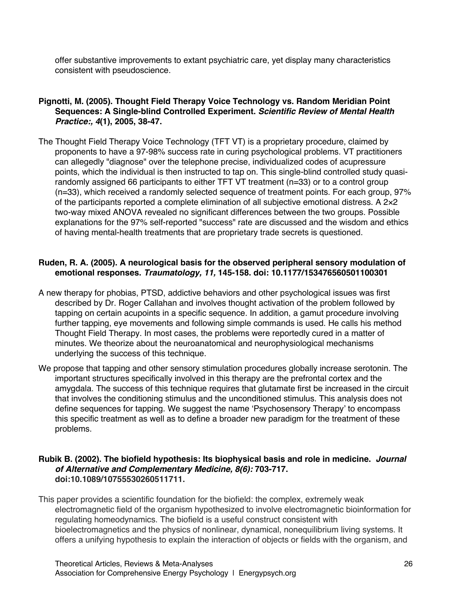offer substantive improvements to extant psychiatric care, yet display many characteristics consistent with pseudoscience.

# **Pignotti, M. (2005). Thought Field Therapy Voice Technology vs. Random Meridian Point Sequences: A Single-blind Controlled Experiment.** *Scientific Review of Mental Health Practice:, 4***(1), 2005, 38-47.**

The Thought Field Therapy Voice Technology (TFT VT) is a proprietary procedure, claimed by proponents to have a 97-98% success rate in curing psychological problems. VT practitioners can allegedly "diagnose" over the telephone precise, individualized codes of acupressure points, which the individual is then instructed to tap on. This single-blind controlled study quasirandomly assigned 66 participants to either TFT VT treatment (n=33) or to a control group (n=33), which received a randomly selected sequence of treatment points. For each group, 97% of the participants reported a complete elimination of all subjective emotional distress. A 2×2 two-way mixed ANOVA revealed no significant differences between the two groups. Possible explanations for the 97% self-reported "success" rate are discussed and the wisdom and ethics of having mental-health treatments that are proprietary trade secrets is questioned.

# **Ruden, R. A. (2005). A neurological basis for the observed peripheral sensory modulation of emotional responses.** *Traumatology, 11,* **145-158. doi: 10.1177/153476560501100301**

- A new therapy for phobias, PTSD, addictive behaviors and other psychological issues was first described by Dr. Roger Callahan and involves thought activation of the problem followed by tapping on certain acupoints in a specific sequence. In addition, a gamut procedure involving further tapping, eye movements and following simple commands is used. He calls his method Thought Field Therapy. In most cases, the problems were reportedly cured in a matter of minutes. We theorize about the neuroanatomical and neurophysiological mechanisms underlying the success of this technique.
- We propose that tapping and other sensory stimulation procedures globally increase serotonin. The important structures specifically involved in this therapy are the prefrontal cortex and the amygdala. The success of this technique requires that glutamate first be increased in the circuit that involves the conditioning stimulus and the unconditioned stimulus. This analysis does not define sequences for tapping. We suggest the name 'Psychosensory Therapy' to encompass this specific treatment as well as to define a broader new paradigm for the treatment of these problems.

#### **Rubik B. (2002). The biofield hypothesis: Its biophysical basis and role in medicine.** *Journal of Alternative and Complementary Medicine, 8(6):* **703-717. doi:10.1089/10755530260511711.**

This paper provides a scientific foundation for the biofield: the complex, extremely weak electromagnetic field of the organism hypothesized to involve electromagnetic bioinformation for regulating homeodynamics. The biofield is a useful construct consistent with bioelectromagnetics and the physics of nonlinear, dynamical, nonequilibrium living systems. It offers a unifying hypothesis to explain the interaction of objects or fields with the organism, and